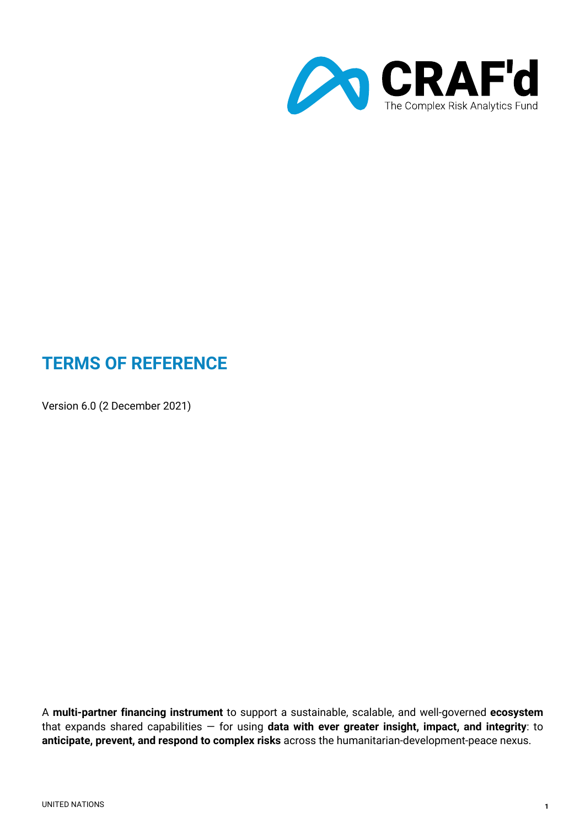

# **TERMS OF REFERENCE**

Version 6.0 (2 December 2021)

A **multi-partner financing instrument** to support a sustainable, scalable, and well-governed **ecosystem** that expands shared capabilities — for using **data with ever greater insight, impact, and integrity**: to **anticipate, prevent, and respond to complex risks** across the humanitarian-development-peace nexus.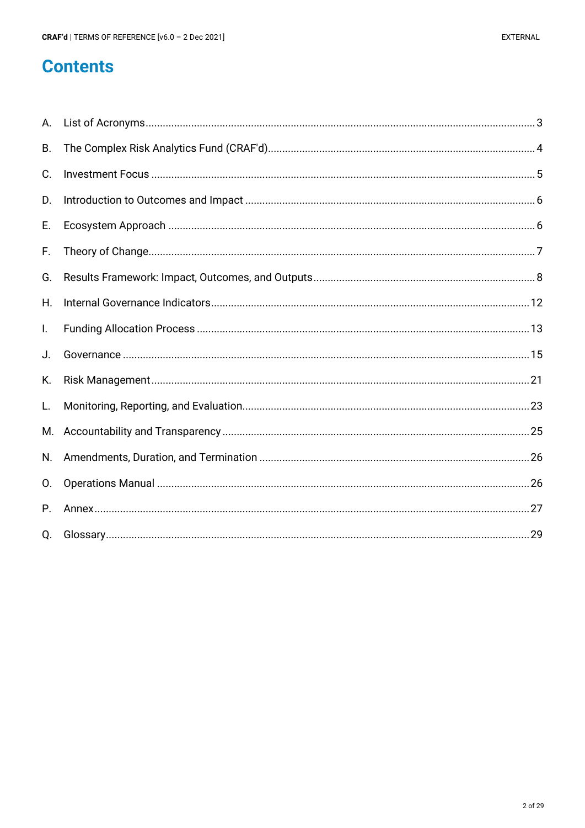# **Contents**

| Α.             |  |
|----------------|--|
| <b>B.</b>      |  |
| C.             |  |
| D.             |  |
| Е.             |  |
| F.             |  |
| G.             |  |
| Η.             |  |
| I.             |  |
| J.             |  |
| Κ.             |  |
| L.             |  |
| М.             |  |
| N.             |  |
| $\mathsf{O}$ . |  |
| P.             |  |
| Q.             |  |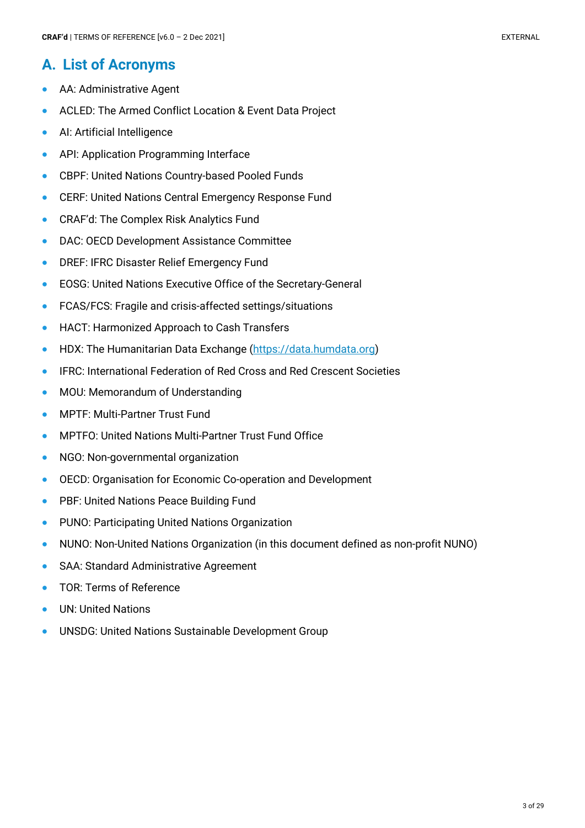# **A. List of Acronyms**

- AA: Administrative Agent
- ACLED: The Armed Conflict Location & Event Data Project
- AI: Artificial Intelligence
- API: Application Programming Interface
- CBPF: United Nations Country-based Pooled Funds
- CERF: United Nations Central Emergency Response Fund
- CRAF'd: The Complex Risk Analytics Fund
- DAC: OECD Development Assistance Committee
- DREF: IFRC Disaster Relief Emergency Fund
- EOSG: United Nations Executive Office of the Secretary-General
- FCAS/FCS: Fragile and crisis-affected settings/situations
- HACT: Harmonized Approach to Cash Transfers
- HDX: The Humanitarian Data Exchange (https://data.humdata.org)
- IFRC: International Federation of Red Cross and Red Crescent Societies
- MOU: Memorandum of Understanding
- MPTF: Multi-Partner Trust Fund
- MPTFO: United Nations Multi-Partner Trust Fund Office
- NGO: Non-governmental organization
- OECD: Organisation for Economic Co-operation and Development
- PBF: United Nations Peace Building Fund
- PUNO: Participating United Nations Organization
- NUNO: Non-United Nations Organization (in this document defined as non-profit NUNO)
- SAA: Standard Administrative Agreement
- TOR: Terms of Reference
- UN: United Nations
- UNSDG: United Nations Sustainable Development Group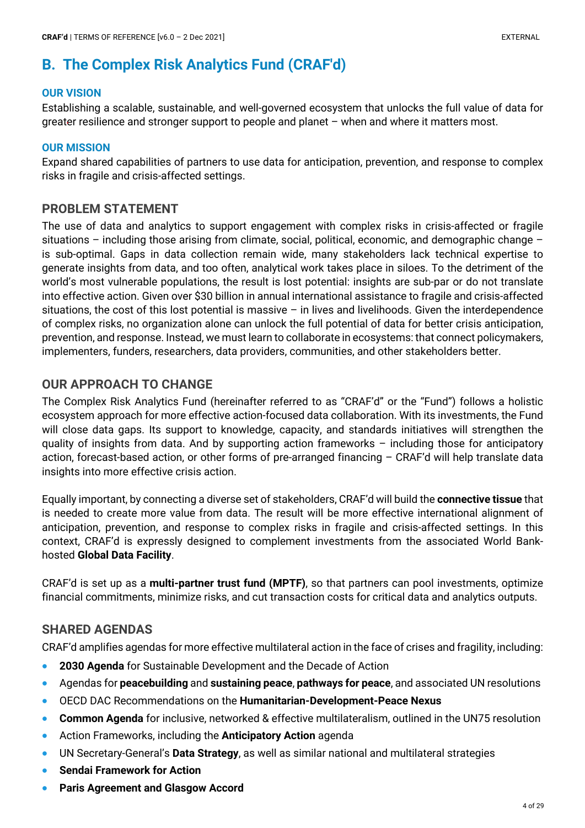# **B. The Complex Risk Analytics Fund (CRAF'd)**

#### **OUR VISION**

Establishing a scalable, sustainable, and well-governed ecosystem that unlocks the full value of data for greater resilience and stronger support to people and planet – when and where it matters most.

#### **OUR MISSION**

Expand shared capabilities of partners to use data for anticipation, prevention, and response to complex risks in fragile and crisis-affected settings.

#### **PROBLEM STATEMENT**

The use of data and analytics to support engagement with complex risks in crisis-affected or fragile situations – including those arising from climate, social, political, economic, and demographic change – is sub-optimal. Gaps in data collection remain wide, many stakeholders lack technical expertise to generate insights from data, and too often, analytical work takes place in siloes. To the detriment of the world's most vulnerable populations, the result is lost potential: insights are sub-par or do not translate into effective action. Given over \$30 billion in annual international assistance to fragile and crisis-affected situations, the cost of this lost potential is massive  $-$  in lives and livelihoods. Given the interdependence of complex risks, no organization alone can unlock the full potential of data for better crisis anticipation, prevention, and response. Instead, we must learn to collaborate in ecosystems: that connect policymakers, implementers, funders, researchers, data providers, communities, and other stakeholders better.

## **OUR APPROACH TO CHANGE**

The Complex Risk Analytics Fund (hereinafter referred to as "CRAF'd" or the "Fund") follows a holistic ecosystem approach for more effective action-focused data collaboration. With its investments, the Fund will close data gaps. Its support to knowledge, capacity, and standards initiatives will strengthen the quality of insights from data. And by supporting action frameworks – including those for anticipatory action, forecast-based action, or other forms of pre-arranged financing – CRAF'd will help translate data insights into more effective crisis action.

Equally important, by connecting a diverse set of stakeholders, CRAF'd will build the **connective tissue** that is needed to create more value from data. The result will be more effective international alignment of anticipation, prevention, and response to complex risks in fragile and crisis-affected settings. In this context, CRAF'd is expressly designed to complement investments from the associated World Bankhosted **Global Data Facility**.

CRAF'd is set up as a **multi-partner trust fund (MPTF)**, so that partners can pool investments, optimize financial commitments, minimize risks, and cut transaction costs for critical data and analytics outputs.

## **SHARED AGENDAS**

CRAF'd amplifies agendas for more effective multilateral action in the face of crises and fragility, including:

- **2030 Agenda** for Sustainable Development and the Decade of Action
- Agendas for **peacebuilding** and **sustaining peace**, **pathways for peace**, and associated UN resolutions
- OECD DAC Recommendations on the **Humanitarian-Development-Peace Nexus**
- **Common Agenda** for inclusive, networked & effective multilateralism, outlined in the UN75 resolution
- Action Frameworks, including the **Anticipatory Action** agenda
- UN Secretary-General's **Data Strategy**, as well as similar national and multilateral strategies
- **Sendai Framework for Action**
- **Paris Agreement and Glasgow Accord**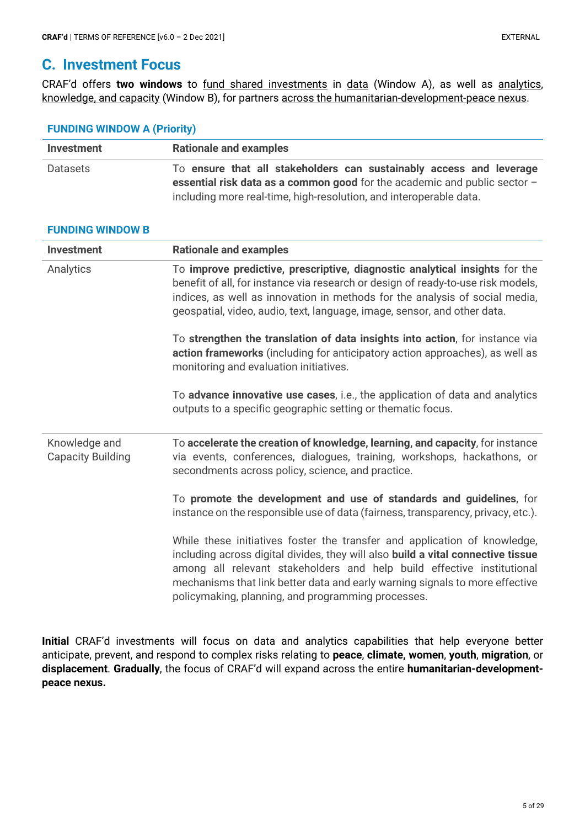## **C. Investment Focus**

CRAF'd offers **two windows** to fund shared investments in data (Window A), as well as analytics, knowledge, and capacity (Window B), for partners across the humanitarian-development-peace nexus.

#### **FUNDING WINDOW A (Priority)**

**FUNDING WINDOW B**

| <b>Investment</b> | <b>Rationale and examples</b>                                                                                                                                                                                            |
|-------------------|--------------------------------------------------------------------------------------------------------------------------------------------------------------------------------------------------------------------------|
| Datasets          | To ensure that all stakeholders can sustainably access and leverage<br>essential risk data as a common good for the academic and public sector $-$<br>including more real-time, high-resolution, and interoperable data. |

| <b>Investment</b>                         | <b>Rationale and examples</b>                                                                                                                                                                                                                                                                                                                                                 |
|-------------------------------------------|-------------------------------------------------------------------------------------------------------------------------------------------------------------------------------------------------------------------------------------------------------------------------------------------------------------------------------------------------------------------------------|
| Analytics                                 | To improve predictive, prescriptive, diagnostic analytical insights for the<br>benefit of all, for instance via research or design of ready-to-use risk models,<br>indices, as well as innovation in methods for the analysis of social media,<br>geospatial, video, audio, text, language, image, sensor, and other data.                                                    |
|                                           | To strengthen the translation of data insights into action, for instance via<br>action frameworks (including for anticipatory action approaches), as well as<br>monitoring and evaluation initiatives.                                                                                                                                                                        |
|                                           | To advance innovative use cases, i.e., the application of data and analytics<br>outputs to a specific geographic setting or thematic focus.                                                                                                                                                                                                                                   |
| Knowledge and<br><b>Capacity Building</b> | To accelerate the creation of knowledge, learning, and capacity, for instance<br>via events, conferences, dialogues, training, workshops, hackathons, or<br>secondments across policy, science, and practice.                                                                                                                                                                 |
|                                           | To promote the development and use of standards and guidelines, for<br>instance on the responsible use of data (fairness, transparency, privacy, etc.).                                                                                                                                                                                                                       |
|                                           | While these initiatives foster the transfer and application of knowledge,<br>including across digital divides, they will also build a vital connective tissue<br>among all relevant stakeholders and help build effective institutional<br>mechanisms that link better data and early warning signals to more effective<br>policymaking, planning, and programming processes. |

**Initial** CRAF'd investments will focus on data and analytics capabilities that help everyone better anticipate, prevent, and respond to complex risks relating to **peace**, **climate, women**, **youth**, **migration**, or **displacement**. **Gradually**, the focus of CRAF'd will expand across the entire **humanitarian-developmentpeace nexus.**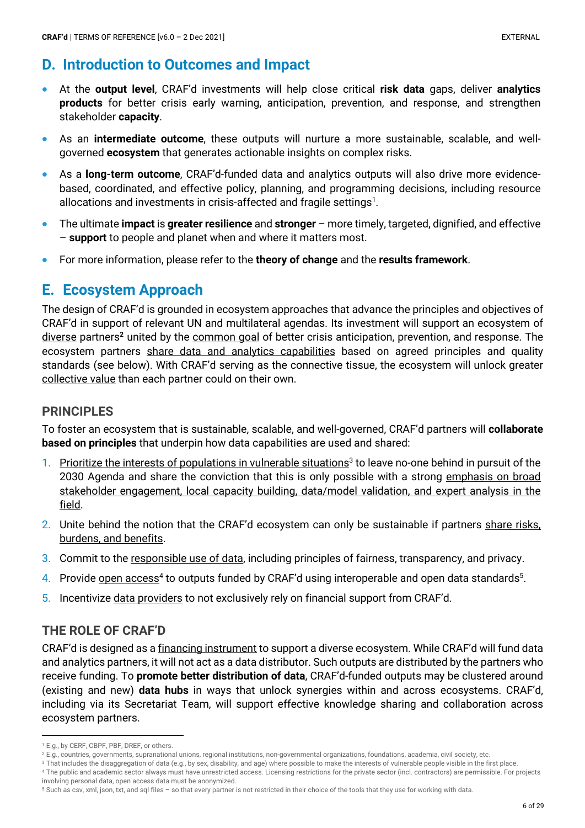# **D. Introduction to Outcomes and Impact**

- At the **output level**, CRAF'd investments will help close critical **risk data** gaps, deliver **analytics products** for better crisis early warning, anticipation, prevention, and response, and strengthen stakeholder **capacity**.
- As an **intermediate outcome**, these outputs will nurture a more sustainable, scalable, and wellgoverned **ecosystem** that generates actionable insights on complex risks.
- As a **long-term outcome**, CRAF'd-funded data and analytics outputs will also drive more evidencebased, coordinated, and effective policy, planning, and programming decisions, including resource allocations and investments in crisis-affected and fragile settings $^1$ .
- The ultimate **impact** is **greater resilience** and **stronger** more timely, targeted, dignified, and effective – **support** to people and planet when and where it matters most.
- For more information, please refer to the **theory of change** and the **results framework**.

## **E. Ecosystem Approach**

The design of CRAF'd is grounded in ecosystem approaches that advance the principles and objectives of CRAF'd in support of relevant UN and multilateral agendas. Its investment will support an ecosystem of diverse partners**<sup>2</sup>** united by the common goal of better crisis anticipation, prevention, and response. The ecosystem partners share data and analytics capabilities based on agreed principles and quality standards (see below). With CRAF'd serving as the connective tissue, the ecosystem will unlock greater collective value than each partner could on their own.

## **PRINCIPLES**

To foster an ecosystem that is sustainable, scalable, and well-governed, CRAF'd partners will **collaborate based on principles** that underpin how data capabilities are used and shared:

- 1. Prioritize the interests of populations in vulnerable situations<sup>3</sup> to leave no-one behind in pursuit of the 2030 Agenda and share the conviction that this is only possible with a strong emphasis on broad stakeholder engagement, local capacity building, data/model validation, and expert analysis in the field.
- 2. Unite behind the notion that the CRAF'd ecosystem can only be sustainable if partners share risks, burdens, and benefits.
- 3. Commit to the responsible use of data, including principles of fairness, transparency, and privacy.
- 4. Provide open access<sup>4</sup> to outputs funded by CRAF'd using interoperable and open data standards<sup>5</sup>.
- 5. Incentivize data providers to not exclusively rely on financial support from CRAF'd.

## **THE ROLE OF CRAF'D**

CRAF'd is designed as a financing instrument to support a diverse ecosystem. While CRAF'd will fund data and analytics partners, it will not act as a data distributor. Such outputs are distributed by the partners who receive funding. To **promote better distribution of data**, CRAF'd-funded outputs may be clustered around (existing and new) **data hubs** in ways that unlock synergies within and across ecosystems. CRAF'd, including via its Secretariat Team, will support effective knowledge sharing and collaboration across ecosystem partners.

<sup>1</sup> E.g., by CERF, CBPF, PBF, DREF, or others.

<sup>&</sup>lt;sup>2</sup> E.g., countries, governments, supranational unions, regional institutions, non-governmental organizations, foundations, academia, civil society, etc.

<sup>&</sup>lt;sup>3</sup> That includes the disaggregation of data (e.g., by sex, disability, and age) where possible to make the interests of vulnerable people visible in the first place.

<sup>4</sup> The public and academic sector always must have unrestricted access. Licensing restrictions for the private sector (incl. contractors) are permissible. For projects involving personal data, open access data must be anonymized.

<sup>5</sup> Such as csv, xml, json, txt, and sql files – so that every partner is not restricted in their choice of the tools that they use for working with data.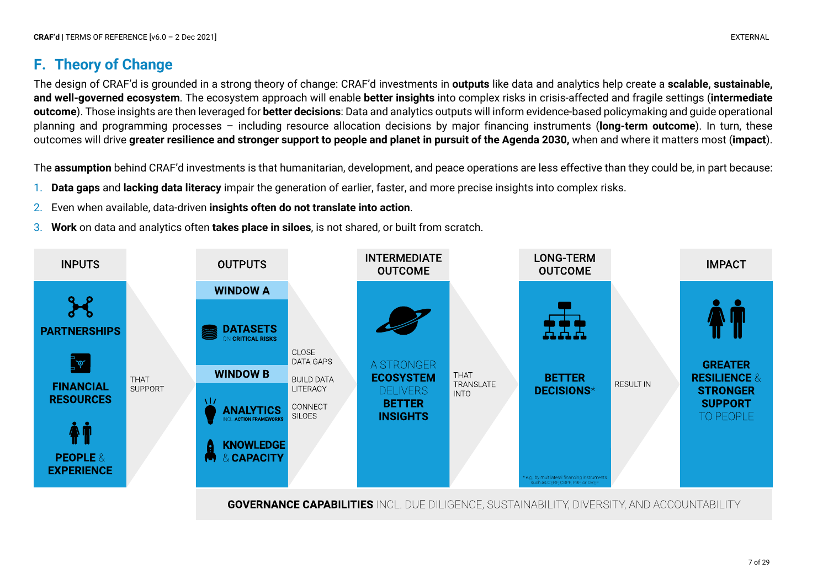# **F. Theory of Change**

The design of CRAF'd is grounded in a strong theory of change: CRAF'd investments in **outputs** like data and analytics help create a **scalable, sustainable, and well-governed ecosystem**. The ecosystem approach will enable **better insights** into complex risks in crisis-affected and fragile settings (**intermediate outcome**). Those insights are then leveraged for **better decisions**: Data and analytics outputs will inform evidence-based policymaking and guide operational planning and programming processes – including resource allocation decisions by major financing instruments (**long-term outcome**). In turn, these outcomes will drive **greater resilience and stronger support to people and planet in pursuit of the Agenda 2030,** when and where it matters most (**impact**).

The **assumption** behind CRAF'd investments is that humanitarian, development, and peace operations are less effective than they could be, in part because:

- 1. **Data gaps** and **lacking data literacy** impair the generation of earlier, faster, and more precise insights into complex risks.
- 2. Even when available, data-driven **insights often do not translate into action**.
- 3. **Work** on data and analytics often **takes place in siloes**, is not shared, or built from scratch.



**GOVERNANCE CAPABILITIES** INCL. DUE DILIGENCE, SUSTAINABILITY, DIVERSITY, AND ACCOUNTABILITY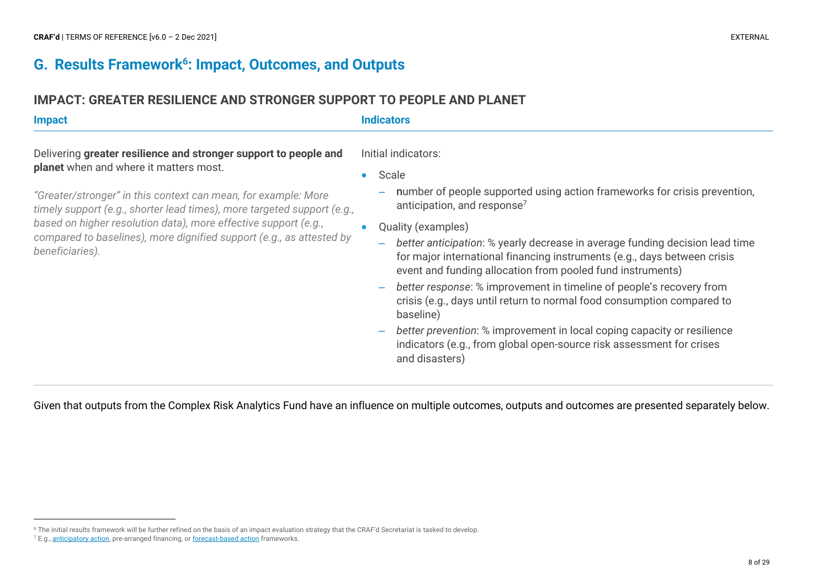## **G. Results Framework6: Impact, Outcomes, and Outputs**

## **IMPACT: GREATER RESILIENCE AND STRONGER SUPPORT TO PEOPLE AND PLANET**

| <b>Impact</b>                                                                                                                                                                                                                                          | <b>Indicators</b>                                                                                                                                                                                                                                                                                                                                |  |  |  |
|--------------------------------------------------------------------------------------------------------------------------------------------------------------------------------------------------------------------------------------------------------|--------------------------------------------------------------------------------------------------------------------------------------------------------------------------------------------------------------------------------------------------------------------------------------------------------------------------------------------------|--|--|--|
| Delivering greater resilience and stronger support to people and                                                                                                                                                                                       | Initial indicators:                                                                                                                                                                                                                                                                                                                              |  |  |  |
| planet when and where it matters most.<br>"Greater/stronger" in this context can mean, for example: More<br>timely support (e.g., shorter lead times), more targeted support (e.g.,<br>based on higher resolution data), more effective support (e.g., | Scale<br>number of people supported using action frameworks for crisis prevention,<br>-<br>anticipation, and response <sup>7</sup>                                                                                                                                                                                                               |  |  |  |
| compared to baselines), more dignified support (e.g., as attested by<br>beneficiaries).                                                                                                                                                                | Quality (examples)<br>better anticipation: % yearly decrease in average funding decision lead time<br>$\overline{\phantom{0}}$<br>for major international financing instruments (e.g., days between crisis<br>event and funding allocation from pooled fund instruments)<br>hetter response: % improvement in timeline of people's recovery from |  |  |  |

- *better response*: % improvement in timeline of people's recovery from crisis (e.g., days until return to normal food consumption compared to baseline)
- *better prevention*: % improvement in local coping capacity or resilience indicators (e.g., from global open-source risk assessment for crises and disasters)

Given that outputs from the Complex Risk Analytics Fund have an influence on multiple outcomes, outputs and outcomes are presented separately below.

<sup>6</sup> The initial results framework will be further refined on the basis of an impact evaluation strategy that the CRAF'd Secretariat is tasked to develop.

<sup>&</sup>lt;sup>7</sup> E.g., anticipatory action, pre-arranged financing, or forecast-based action frameworks.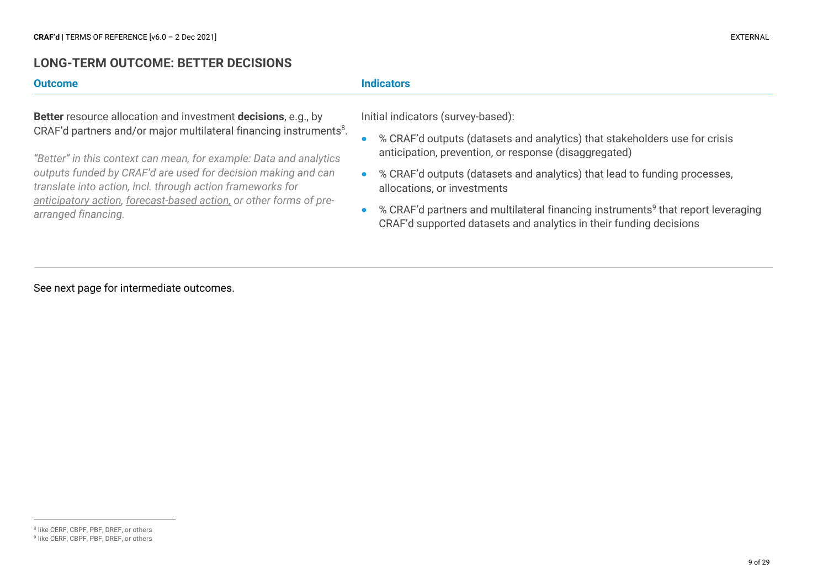#### **LONG-TERM OUTCOME: BETTER DECISIONS**

**Better** resource allocation and investment **decisions**, e.g., by CRAF'd partners and/or major multilateral financing instruments<sup>8</sup>.

*"Better" in this context can mean, for example: Data and analytics outputs funded by CRAF'd are used for decision making and can translate into action, incl. through action frameworks for anticipatory action, forecast-based action, or other forms of prearranged financing.*

#### **Outcome Indicators**

Initial indicators (survey-based):

- % CRAF'd outputs (datasets and analytics) that stakeholders use for crisis anticipation, prevention, or response (disaggregated)
- % CRAF'd outputs (datasets and analytics) that lead to funding processes, allocations, or investments
- $%$  CRAF'd partners and multilateral financing instruments<sup>9</sup> that report leveraging CRAF'd supported datasets and analytics in their funding decisions

See next page for intermediate outcomes.

<sup>8</sup> like CERF, CBPF, PBF, DREF, or others <sup>9</sup> like CERF, CBPF, PBF, DREF, or others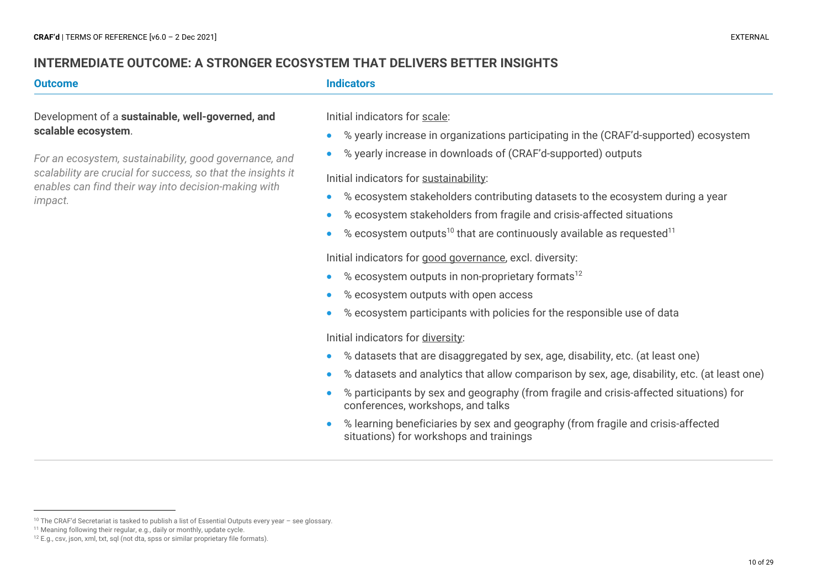## **INTERMEDIATE OUTCOME: A STRONGER ECOSYSTEM THAT DELIVERS BETTER INSIGHTS**

Development of a **sustainable, well-governed, and scalable ecosystem**.

*For an ecosystem, sustainability, good governance, and scalability are crucial for success, so that the insights it enables can find their way into decision-making with impact.* 

#### **Outcome Indicators**

Initial indicators for scale:

- % yearly increase in organizations participating in the (CRAF'd-supported) ecosystem
- % yearly increase in downloads of (CRAF'd-supported) outputs

#### Initial indicators for sustainability:

- % ecosystem stakeholders contributing datasets to the ecosystem during a year
- % ecosystem stakeholders from fragile and crisis-affected situations
- $%$  ecosystem outputs<sup>10</sup> that are continuously available as requested<sup>11</sup>

Initial indicators for good governance, excl. diversity:

- $%$  ecosystem outputs in non-proprietary formats<sup>12</sup>
- % ecosystem outputs with open access
- % ecosystem participants with policies for the responsible use of data

Initial indicators for diversity:

- % datasets that are disaggregated by sex, age, disability, etc. (at least one)
- % datasets and analytics that allow comparison by sex, age, disability, etc. (at least one)
- % participants by sex and geography (from fragile and crisis-affected situations) for conferences, workshops, and talks
- % learning beneficiaries by sex and geography (from fragile and crisis-affected situations) for workshops and trainings

<sup>10</sup> The CRAF'd Secretariat is tasked to publish a list of Essential Outputs every year – see glossary.

<sup>11</sup> Meaning following their regular, e.g., daily or monthly, update cycle.

<sup>&</sup>lt;sup>12</sup> E.g., csv, json, xml, txt, sql (not dta, spss or similar proprietary file formats).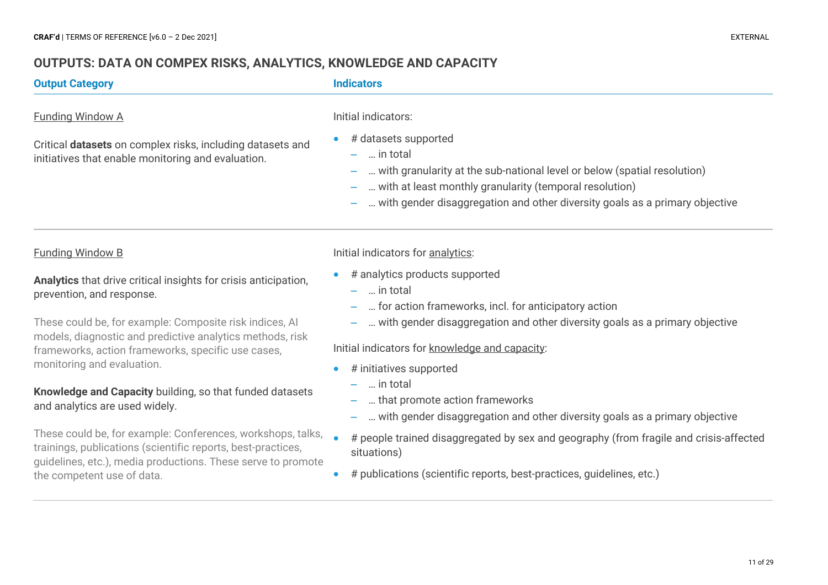## **OUTPUTS: DATA ON COMPEX RISKS, ANALYTICS, KNOWLEDGE AND CAPACITY**

#### **Output Category Indicators**

#### Funding Window A

Critical **datasets** on complex risks, including datasets and initiatives that enable monitoring and evaluation.

#### Initial indicators:

- # datasets supported
	- … in total
	- … with granularity at the sub-national level or below (spatial resolution)
	- … with at least monthly granularity (temporal resolution)
	- … with gender disaggregation and other diversity goals as a primary objective

#### Funding Window B

**Analytics** that drive critical insights for crisis anticipation, prevention, and response.

These could be, for example: Composite risk indices, AI models, diagnostic and predictive analytics methods, risk frameworks, action frameworks, specific use cases, monitoring and evaluation.

#### **Knowledge and Capacity** building, so that funded datasets and analytics are used widely.

These could be, for example: Conferences, workshops, talks, trainings, publications (scientific reports, best-practices, guidelines, etc.), media productions. These serve to promote the competent use of data.

#### Initial indicators for analytics:

- # analytics products supported
	- … in total
	- … for action frameworks, incl. for anticipatory action
	- … with gender disaggregation and other diversity goals as a primary objective

#### Initial indicators for knowledge and capacity:

- # initiatives supported
	- … in total
	- … that promote action frameworks
	- … with gender disaggregation and other diversity goals as a primary objective
- # people trained disaggregated by sex and geography (from fragile and crisis-affected situations)
- # publications (scientific reports, best-practices, guidelines, etc.)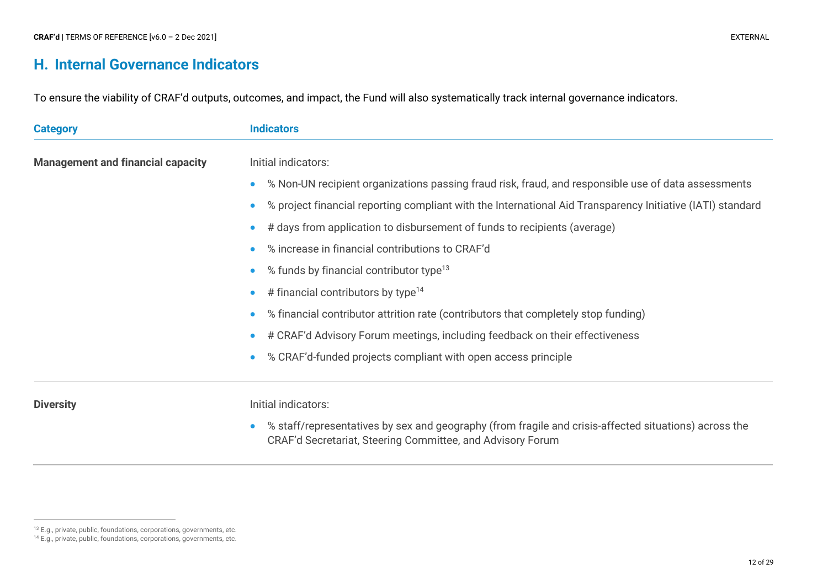## **H. Internal Governance Indicators**

To ensure the viability of CRAF'd outputs, outcomes, and impact, the Fund will also systematically track internal governance indicators.

| <b>Category</b>                          | <b>Indicators</b>                                                                                          |  |  |  |
|------------------------------------------|------------------------------------------------------------------------------------------------------------|--|--|--|
| <b>Management and financial capacity</b> | Initial indicators:                                                                                        |  |  |  |
|                                          | % Non-UN recipient organizations passing fraud risk, fraud, and responsible use of data assessments        |  |  |  |
|                                          | % project financial reporting compliant with the International Aid Transparency Initiative (IATI) standard |  |  |  |
|                                          | # days from application to disbursement of funds to recipients (average)                                   |  |  |  |
|                                          | % increase in financial contributions to CRAF'd                                                            |  |  |  |
|                                          | % funds by financial contributor type <sup>13</sup>                                                        |  |  |  |
|                                          | # financial contributors by type <sup>14</sup>                                                             |  |  |  |
|                                          | % financial contributor attrition rate (contributors that completely stop funding)                         |  |  |  |
|                                          | # CRAF'd Advisory Forum meetings, including feedback on their effectiveness                                |  |  |  |
|                                          | % CRAF'd-funded projects compliant with open access principle                                              |  |  |  |
|                                          |                                                                                                            |  |  |  |

**Diversity Diversity Initial indicators:** 

• % staff/representatives by sex and geography (from fragile and crisis-affected situations) across the CRAF'd Secretariat, Steering Committee, and Advisory Forum

<sup>13</sup> E.g., private, public, foundations, corporations, governments, etc.

<sup>14</sup> E.g., private, public, foundations, corporations, governments, etc.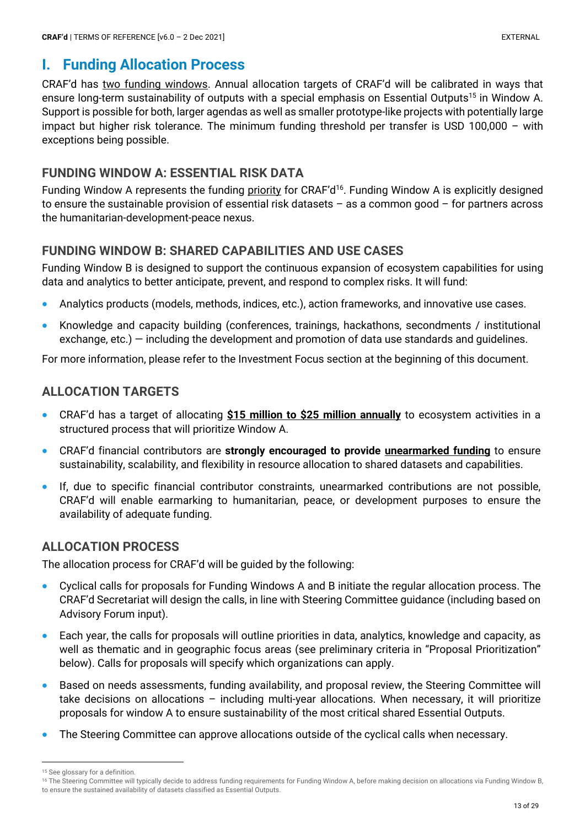# **I. Funding Allocation Process**

CRAF'd has two funding windows. Annual allocation targets of CRAF'd will be calibrated in ways that ensure long-term sustainability of outputs with a special emphasis on Essential Outputs<sup>15</sup> in Window A. Support is possible for both, larger agendas as well as smaller prototype-like projects with potentially large impact but higher risk tolerance. The minimum funding threshold per transfer is USD 100,000 – with exceptions being possible.

## **FUNDING WINDOW A: ESSENTIAL RISK DATA**

Funding Window A represents the funding priority for CRAF'd<sup>16</sup>. Funding Window A is explicitly designed to ensure the sustainable provision of essential risk datasets – as a common good – for partners across the humanitarian-development-peace nexus.

## **FUNDING WINDOW B: SHARED CAPABILITIES AND USE CASES**

Funding Window B is designed to support the continuous expansion of ecosystem capabilities for using data and analytics to better anticipate, prevent, and respond to complex risks. It will fund:

- Analytics products (models, methods, indices, etc.), action frameworks, and innovative use cases.
- Knowledge and capacity building (conferences, trainings, hackathons, secondments / institutional exchange, etc.) — including the development and promotion of data use standards and guidelines.

For more information, please refer to the Investment Focus section at the beginning of this document.

## **ALLOCATION TARGETS**

- CRAF'd has a target of allocating **\$15 million to \$25 million annually** to ecosystem activities in a structured process that will prioritize Window A.
- CRAF'd financial contributors are **strongly encouraged to provide unearmarked funding** to ensure sustainability, scalability, and flexibility in resource allocation to shared datasets and capabilities.
- If, due to specific financial contributor constraints, unearmarked contributions are not possible, CRAF'd will enable earmarking to humanitarian, peace, or development purposes to ensure the availability of adequate funding.

## **ALLOCATION PROCESS**

The allocation process for CRAF'd will be guided by the following:

- Cyclical calls for proposals for Funding Windows A and B initiate the regular allocation process. The CRAF'd Secretariat will design the calls, in line with Steering Committee guidance (including based on Advisory Forum input).
- Each year, the calls for proposals will outline priorities in data, analytics, knowledge and capacity, as well as thematic and in geographic focus areas (see preliminary criteria in "Proposal Prioritization" below). Calls for proposals will specify which organizations can apply.
- Based on needs assessments, funding availability, and proposal review, the Steering Committee will take decisions on allocations – including multi-year allocations. When necessary, it will prioritize proposals for window A to ensure sustainability of the most critical shared Essential Outputs.
- The Steering Committee can approve allocations outside of the cyclical calls when necessary.

<sup>15</sup> See glossary for a definition.

<sup>&</sup>lt;sup>16</sup> The Steering Committee will typically decide to address funding requirements for Funding Window A, before making decision on allocations via Funding Window B, to ensure the sustained availability of datasets classified as Essential Outputs.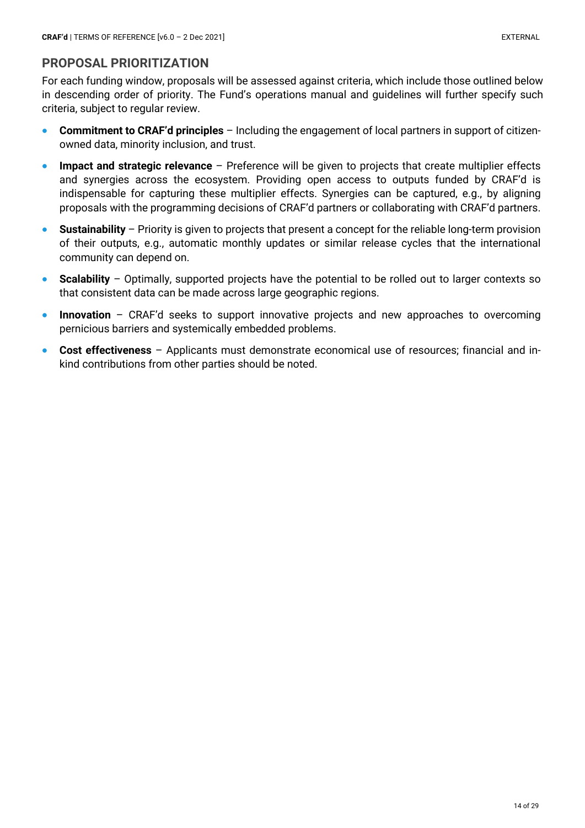## **PROPOSAL PRIORITIZATION**

For each funding window, proposals will be assessed against criteria, which include those outlined below in descending order of priority. The Fund's operations manual and guidelines will further specify such criteria, subject to regular review.

- **Commitment to CRAF'd principles** Including the engagement of local partners in support of citizenowned data, minority inclusion, and trust.
- **Impact and strategic relevance** Preference will be given to projects that create multiplier effects and synergies across the ecosystem. Providing open access to outputs funded by CRAF'd is indispensable for capturing these multiplier effects. Synergies can be captured, e.g., by aligning proposals with the programming decisions of CRAF'd partners or collaborating with CRAF'd partners.
- **Sustainability**  Priority is given to projects that present a concept for the reliable long-term provision of their outputs, e.g., automatic monthly updates or similar release cycles that the international community can depend on.
- **Scalability**  Optimally, supported projects have the potential to be rolled out to larger contexts so that consistent data can be made across large geographic regions.
- **Innovation** CRAF'd seeks to support innovative projects and new approaches to overcoming pernicious barriers and systemically embedded problems.
- **Cost effectiveness** Applicants must demonstrate economical use of resources; financial and inkind contributions from other parties should be noted.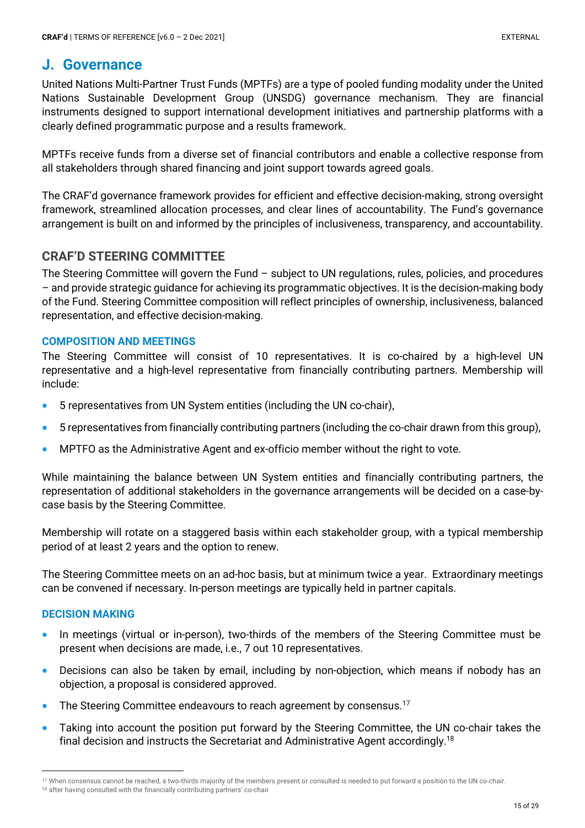## **J. Governance**

United Nations Multi-Partner Trust Funds (MPTFs) are a type of pooled funding modality under the United Nations Sustainable Development Group (UNSDG) governance mechanism. They are financial instruments designed to support international development initiatives and partnership platforms with a clearly defined programmatic purpose and a results framework.

MPTFs receive funds from a diverse set of financial contributors and enable a collective response from all stakeholders through shared financing and joint support towards agreed goals.

The CRAF'd governance framework provides for efficient and effective decision-making, strong oversight framework, streamlined allocation processes, and clear lines of accountability. The Fund's governance arrangement is built on and informed by the principles of inclusiveness, transparency, and accountability.

## **CRAF'D STEERING COMMITTEE**

The Steering Committee will govern the Fund – subject to UN regulations, rules, policies, and procedures – and provide strategic guidance for achieving its programmatic objectives. It is the decision-making body of the Fund. Steering Committee composition will reflect principles of ownership, inclusiveness, balanced representation, and effective decision-making.

#### **COMPOSITION AND MEETINGS**

The Steering Committee will consist of 10 representatives. It is co-chaired by a high-level UN representative and a high-level representative from financially contributing partners. Membership will include:

- 5 representatives from UN System entities (including the UN co-chair),
- 5 representatives from financially contributing partners (including the co-chair drawn from this group),
- MPTFO as the Administrative Agent and ex-officio member without the right to vote.

While maintaining the balance between UN System entities and financially contributing partners, the representation of additional stakeholders in the governance arrangements will be decided on a case-bycase basis by the Steering Committee.

Membership will rotate on a staggered basis within each stakeholder group, with a typical membership period of at least 2 years and the option to renew.

The Steering Committee meets on an ad-hoc basis, but at minimum twice a year. Extraordinary meetings can be convened if necessary. In-person meetings are typically held in partner capitals.

#### **DECISION MAKING**

- In meetings (virtual or in-person), two-thirds of the members of the Steering Committee must be present when decisions are made, i.e., 7 out 10 representatives.
- Decisions can also be taken by email, including by non-objection, which means if nobody has an objection, a proposal is considered approved.
- The Steering Committee endeavours to reach agreement by consensus.<sup>17</sup>
- Taking into account the position put forward by the Steering Committee, the UN co-chair takes the final decision and instructs the Secretariat and Administrative Agent accordingly.18

<sup>17</sup> When consensus cannot be reached, a two-thirds majority of the members present or consulted is needed to put forward a position to the UN co-chair. <sup>18</sup> after having consulted with the financially contributing partners' co-chair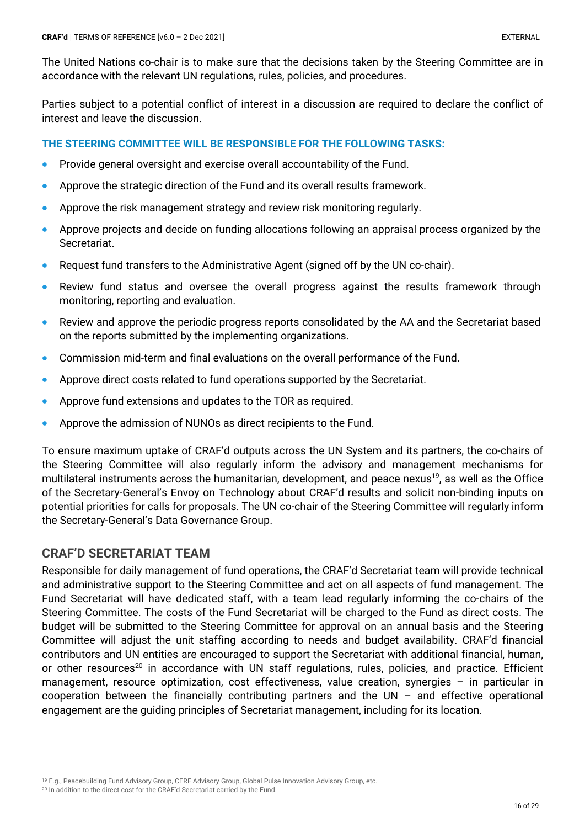The United Nations co-chair is to make sure that the decisions taken by the Steering Committee are in accordance with the relevant UN regulations, rules, policies, and procedures.

Parties subject to a potential conflict of interest in a discussion are required to declare the conflict of interest and leave the discussion.

#### **THE STEERING COMMITTEE WILL BE RESPONSIBLE FOR THE FOLLOWING TASKS:**

- Provide general oversight and exercise overall accountability of the Fund.
- Approve the strategic direction of the Fund and its overall results framework.
- Approve the risk management strategy and review risk monitoring regularly.
- Approve projects and decide on funding allocations following an appraisal process organized by the Secretariat.
- Request fund transfers to the Administrative Agent (signed off by the UN co-chair).
- Review fund status and oversee the overall progress against the results framework through monitoring, reporting and evaluation.
- Review and approve the periodic progress reports consolidated by the AA and the Secretariat based on the reports submitted by the implementing organizations.
- Commission mid-term and final evaluations on the overall performance of the Fund.
- Approve direct costs related to fund operations supported by the Secretariat.
- Approve fund extensions and updates to the TOR as required.
- Approve the admission of NUNOs as direct recipients to the Fund.

To ensure maximum uptake of CRAF'd outputs across the UN System and its partners, the co-chairs of the Steering Committee will also regularly inform the advisory and management mechanisms for multilateral instruments across the humanitarian, development, and peace nexus<sup>19</sup>, as well as the Office of the Secretary-General's Envoy on Technology about CRAF'd results and solicit non-binding inputs on potential priorities for calls for proposals. The UN co-chair of the Steering Committee will regularly inform the Secretary-General's Data Governance Group.

## **CRAF'D SECRETARIAT TEAM**

Responsible for daily management of fund operations, the CRAF'd Secretariat team will provide technical and administrative support to the Steering Committee and act on all aspects of fund management. The Fund Secretariat will have dedicated staff, with a team lead regularly informing the co-chairs of the Steering Committee. The costs of the Fund Secretariat will be charged to the Fund as direct costs. The budget will be submitted to the Steering Committee for approval on an annual basis and the Steering Committee will adjust the unit staffing according to needs and budget availability. CRAF'd financial contributors and UN entities are encouraged to support the Secretariat with additional financial, human, or other resources<sup>20</sup> in accordance with UN staff regulations, rules, policies, and practice. Efficient management, resource optimization, cost effectiveness, value creation, synergies – in particular in cooperation between the financially contributing partners and the  $UN -$  and effective operational engagement are the guiding principles of Secretariat management, including for its location.

<sup>19</sup> E.g., Peacebuilding Fund Advisory Group, CERF Advisory Group, Global Pulse Innovation Advisory Group, etc.

<sup>&</sup>lt;sup>20</sup> In addition to the direct cost for the CRAF'd Secretariat carried by the Fund.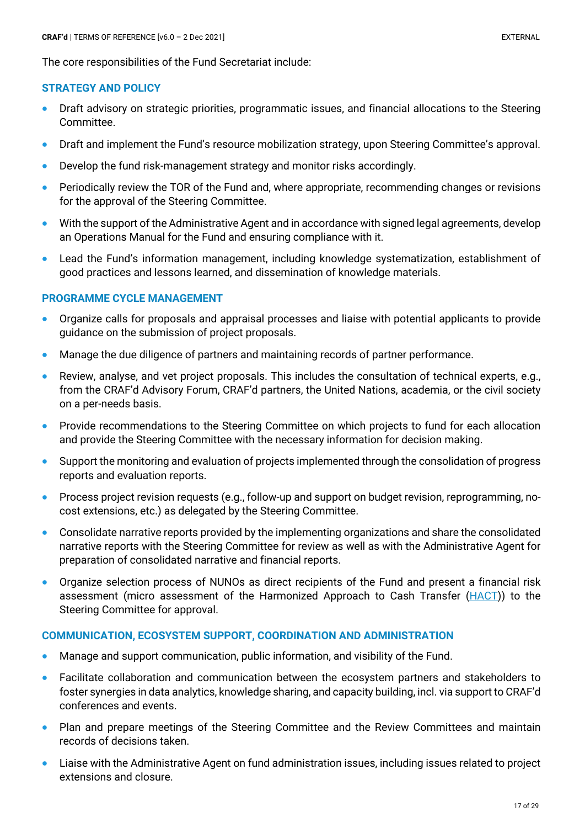The core responsibilities of the Fund Secretariat include:

#### **STRATEGY AND POLICY**

- Draft advisory on strategic priorities, programmatic issues, and financial allocations to the Steering Committee.
- Draft and implement the Fund's resource mobilization strategy, upon Steering Committee's approval.
- Develop the fund risk-management strategy and monitor risks accordingly.
- Periodically review the TOR of the Fund and, where appropriate, recommending changes or revisions for the approval of the Steering Committee.
- With the support of the Administrative Agent and in accordance with signed legal agreements, develop an Operations Manual for the Fund and ensuring compliance with it.
- Lead the Fund's information management, including knowledge systematization, establishment of good practices and lessons learned, and dissemination of knowledge materials.

#### **PROGRAMME CYCLE MANAGEMENT**

- Organize calls for proposals and appraisal processes and liaise with potential applicants to provide guidance on the submission of project proposals.
- Manage the due diligence of partners and maintaining records of partner performance.
- Review, analyse, and vet project proposals. This includes the consultation of technical experts, e.g., from the CRAF'd Advisory Forum, CRAF'd partners, the United Nations, academia, or the civil society on a per-needs basis.
- Provide recommendations to the Steering Committee on which projects to fund for each allocation and provide the Steering Committee with the necessary information for decision making.
- Support the monitoring and evaluation of projects implemented through the consolidation of progress reports and evaluation reports.
- Process project revision requests (e.g., follow-up and support on budget revision, reprogramming, nocost extensions, etc.) as delegated by the Steering Committee.
- Consolidate narrative reports provided by the implementing organizations and share the consolidated narrative reports with the Steering Committee for review as well as with the Administrative Agent for preparation of consolidated narrative and financial reports.
- Organize selection process of NUNOs as direct recipients of the Fund and present a financial risk assessment (micro assessment of the Harmonized Approach to Cash Transfer (HACT)) to the Steering Committee for approval.

#### **COMMUNICATION, ECOSYSTEM SUPPORT, COORDINATION AND ADMINISTRATION**

- Manage and support communication, public information, and visibility of the Fund.
- Facilitate collaboration and communication between the ecosystem partners and stakeholders to foster synergies in data analytics, knowledge sharing, and capacity building, incl. via support to CRAF'd conferences and events.
- Plan and prepare meetings of the Steering Committee and the Review Committees and maintain records of decisions taken.
- Liaise with the Administrative Agent on fund administration issues, including issues related to project extensions and closure.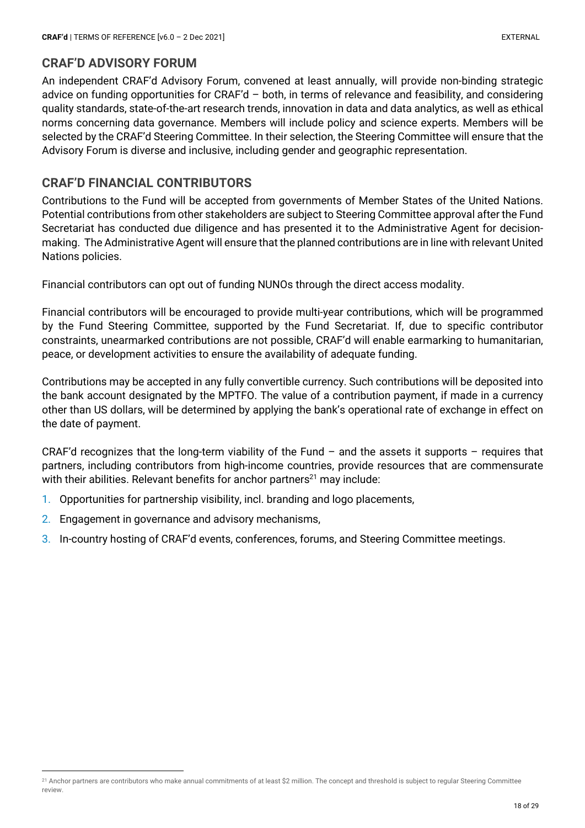## **CRAF'D ADVISORY FORUM**

An independent CRAF'd Advisory Forum, convened at least annually, will provide non-binding strategic advice on funding opportunities for CRAF'd – both, in terms of relevance and feasibility, and considering quality standards, state-of-the-art research trends, innovation in data and data analytics, as well as ethical norms concerning data governance. Members will include policy and science experts. Members will be selected by the CRAF'd Steering Committee. In their selection, the Steering Committee will ensure that the Advisory Forum is diverse and inclusive, including gender and geographic representation.

## **CRAF'D FINANCIAL CONTRIBUTORS**

Contributions to the Fund will be accepted from governments of Member States of the United Nations. Potential contributions from other stakeholders are subject to Steering Committee approval after the Fund Secretariat has conducted due diligence and has presented it to the Administrative Agent for decisionmaking. The Administrative Agent will ensure that the planned contributions are in line with relevant United Nations policies.

Financial contributors can opt out of funding NUNOs through the direct access modality.

Financial contributors will be encouraged to provide multi-year contributions, which will be programmed by the Fund Steering Committee, supported by the Fund Secretariat. If, due to specific contributor constraints, unearmarked contributions are not possible, CRAF'd will enable earmarking to humanitarian, peace, or development activities to ensure the availability of adequate funding.

Contributions may be accepted in any fully convertible currency. Such contributions will be deposited into the bank account designated by the MPTFO. The value of a contribution payment, if made in a currency other than US dollars, will be determined by applying the bank's operational rate of exchange in effect on the date of payment.

CRAF'd recognizes that the long-term viability of the Fund – and the assets it supports – requires that partners, including contributors from high-income countries, provide resources that are commensurate with their abilities. Relevant benefits for anchor partners $^{21}$  may include:

- 1. Opportunities for partnership visibility, incl. branding and logo placements,
- 2. Engagement in governance and advisory mechanisms,
- 3. In-country hosting of CRAF'd events, conferences, forums, and Steering Committee meetings.

<sup>&</sup>lt;sup>21</sup> Anchor partners are contributors who make annual commitments of at least \$2 million. The concept and threshold is subject to regular Steering Committee review.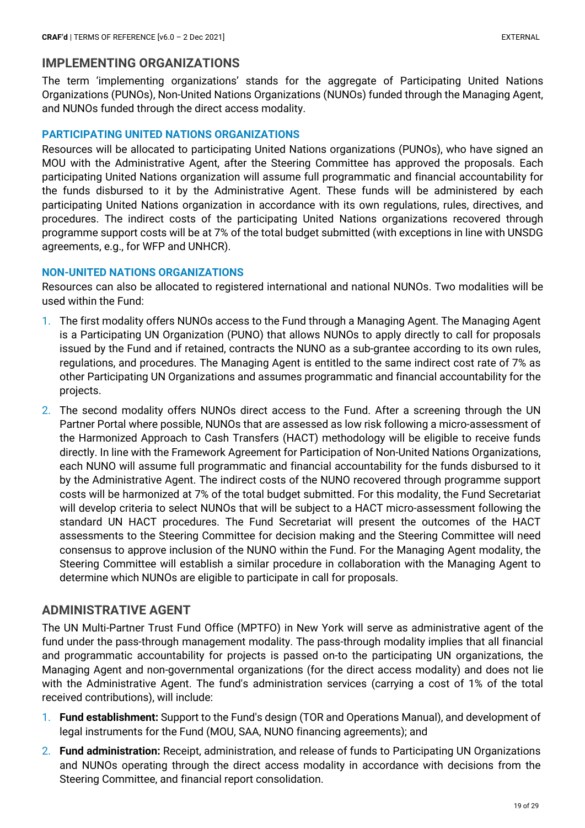## **IMPLEMENTING ORGANIZATIONS**

The term 'implementing organizations' stands for the aggregate of Participating United Nations Organizations (PUNOs), Non-United Nations Organizations (NUNOs) funded through the Managing Agent, and NUNOs funded through the direct access modality.

#### **PARTICIPATING UNITED NATIONS ORGANIZATIONS**

Resources will be allocated to participating United Nations organizations (PUNOs), who have signed an MOU with the Administrative Agent, after the Steering Committee has approved the proposals. Each participating United Nations organization will assume full programmatic and financial accountability for the funds disbursed to it by the Administrative Agent. These funds will be administered by each participating United Nations organization in accordance with its own regulations, rules, directives, and procedures. The indirect costs of the participating United Nations organizations recovered through programme support costs will be at 7% of the total budget submitted (with exceptions in line with UNSDG agreements, e.g., for WFP and UNHCR).

#### **NON-UNITED NATIONS ORGANIZATIONS**

Resources can also be allocated to registered international and national NUNOs. Two modalities will be used within the Fund:

- 1. The first modality offers NUNOs access to the Fund through a Managing Agent. The Managing Agent is a Participating UN Organization (PUNO) that allows NUNOs to apply directly to call for proposals issued by the Fund and if retained, contracts the NUNO as a sub-grantee according to its own rules, regulations, and procedures. The Managing Agent is entitled to the same indirect cost rate of 7% as other Participating UN Organizations and assumes programmatic and financial accountability for the projects.
- 2. The second modality offers NUNOs direct access to the Fund. After a screening through the UN Partner Portal where possible, NUNOs that are assessed as low risk following a micro-assessment of the Harmonized Approach to Cash Transfers (HACT) methodology will be eligible to receive funds directly. In line with the Framework Agreement for Participation of Non-United Nations Organizations, each NUNO will assume full programmatic and financial accountability for the funds disbursed to it by the Administrative Agent. The indirect costs of the NUNO recovered through programme support costs will be harmonized at 7% of the total budget submitted. For this modality, the Fund Secretariat will develop criteria to select NUNOs that will be subject to a HACT micro-assessment following the standard UN HACT procedures. The Fund Secretariat will present the outcomes of the HACT assessments to the Steering Committee for decision making and the Steering Committee will need consensus to approve inclusion of the NUNO within the Fund. For the Managing Agent modality, the Steering Committee will establish a similar procedure in collaboration with the Managing Agent to determine which NUNOs are eligible to participate in call for proposals.

## **ADMINISTRATIVE AGENT**

The UN Multi-Partner Trust Fund Office (MPTFO) in New York will serve as administrative agent of the fund under the pass-through management modality. The pass-through modality implies that all financial and programmatic accountability for projects is passed on-to the participating UN organizations, the Managing Agent and non-governmental organizations (for the direct access modality) and does not lie with the Administrative Agent. The fund's administration services (carrying a cost of 1% of the total received contributions), will include:

- 1. **Fund establishment:** Support to the Fund's design (TOR and Operations Manual), and development of legal instruments for the Fund (MOU, SAA, NUNO financing agreements); and
- 2. **Fund administration:** Receipt, administration, and release of funds to Participating UN Organizations and NUNOs operating through the direct access modality in accordance with decisions from the Steering Committee, and financial report consolidation.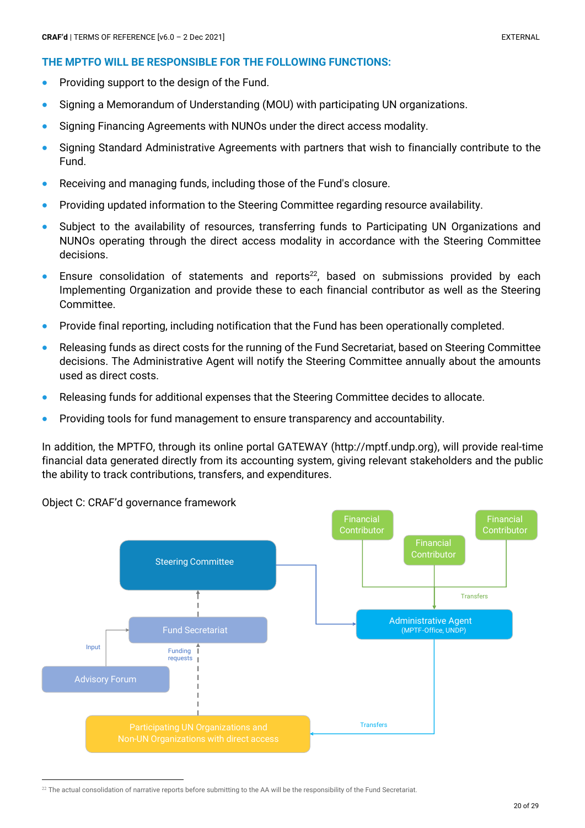- Providing support to the design of the Fund.
- Signing a Memorandum of Understanding (MOU) with participating UN organizations.
- Signing Financing Agreements with NUNOs under the direct access modality.
- Signing Standard Administrative Agreements with partners that wish to financially contribute to the Fund.
- Receiving and managing funds, including those of the Fund's closure.
- Providing updated information to the Steering Committee regarding resource availability.
- Subject to the availability of resources, transferring funds to Participating UN Organizations and NUNOs operating through the direct access modality in accordance with the Steering Committee decisions.
- Ensure consolidation of statements and reports<sup>22</sup>, based on submissions provided by each Implementing Organization and provide these to each financial contributor as well as the Steering Committee.
- Provide final reporting, including notification that the Fund has been operationally completed.
- Releasing funds as direct costs for the running of the Fund Secretariat, based on Steering Committee decisions. The Administrative Agent will notify the Steering Committee annually about the amounts used as direct costs.
- Releasing funds for additional expenses that the Steering Committee decides to allocate.
- Providing tools for fund management to ensure transparency and accountability.

In addition, the MPTFO, through its online portal GATEWAY (http://mptf.undp.org), will provide real-time financial data generated directly from its accounting system, giving relevant stakeholders and the public the ability to track contributions, transfers, and expenditures.



Object C: CRAF'd governance framework

<sup>&</sup>lt;sup>22</sup> The actual consolidation of narrative reports before submitting to the AA will be the responsibility of the Fund Secretariat.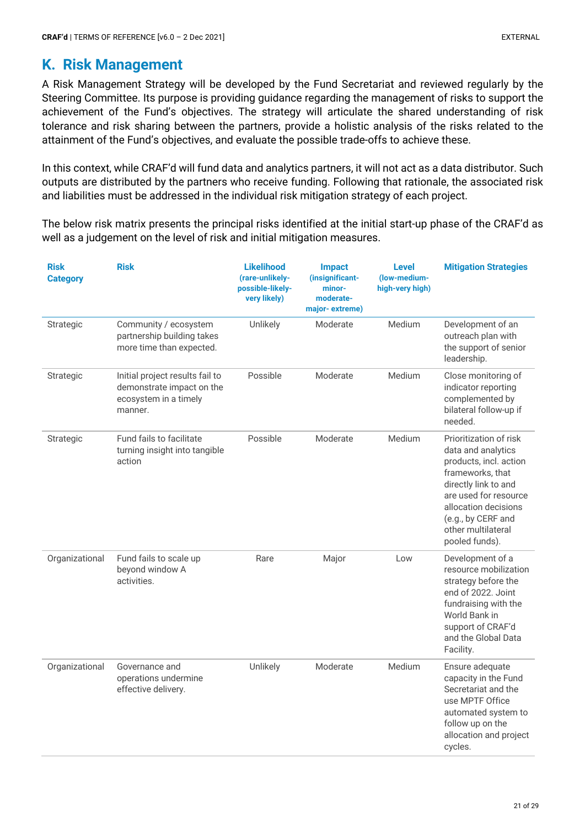## **K. Risk Management**

A Risk Management Strategy will be developed by the Fund Secretariat and reviewed regularly by the Steering Committee. Its purpose is providing guidance regarding the management of risks to support the achievement of the Fund's objectives. The strategy will articulate the shared understanding of risk tolerance and risk sharing between the partners, provide a holistic analysis of the risks related to the attainment of the Fund's objectives, and evaluate the possible trade-offs to achieve these.

In this context, while CRAF'd will fund data and analytics partners, it will not act as a data distributor. Such outputs are distributed by the partners who receive funding. Following that rationale, the associated risk and liabilities must be addressed in the individual risk mitigation strategy of each project.

The below risk matrix presents the principal risks identified at the initial start-up phase of the CRAF'd as well as a judgement on the level of risk and initial mitigation measures.

| <b>Risk</b><br><b>Category</b> | <b>Risk</b>                                                                                      | <b>Likelihood</b><br>(rare-unlikely-<br>possible-likely-<br>very likely) | <b>Impact</b><br>(insignificant-<br>minor-<br>moderate-<br>major-extreme) | <b>Level</b><br>(low-medium-<br>high-very high) | <b>Mitigation Strategies</b>                                                                                                                                                                                                      |
|--------------------------------|--------------------------------------------------------------------------------------------------|--------------------------------------------------------------------------|---------------------------------------------------------------------------|-------------------------------------------------|-----------------------------------------------------------------------------------------------------------------------------------------------------------------------------------------------------------------------------------|
| Strategic                      | Community / ecosystem<br>partnership building takes<br>more time than expected.                  | Unlikely                                                                 | Moderate                                                                  | Medium                                          | Development of an<br>outreach plan with<br>the support of senior<br>leadership.                                                                                                                                                   |
| Strategic                      | Initial project results fail to<br>demonstrate impact on the<br>ecosystem in a timely<br>manner. | Possible                                                                 | Moderate                                                                  | Medium                                          | Close monitoring of<br>indicator reporting<br>complemented by<br>bilateral follow-up if<br>needed.                                                                                                                                |
| Strategic                      | Fund fails to facilitate<br>turning insight into tangible<br>action                              | Possible                                                                 | Moderate                                                                  | Medium                                          | Prioritization of risk<br>data and analytics<br>products, incl. action<br>frameworks, that<br>directly link to and<br>are used for resource<br>allocation decisions<br>(e.g., by CERF and<br>other multilateral<br>pooled funds). |
| Organizational                 | Fund fails to scale up<br>beyond window A<br>activities.                                         | Rare                                                                     | Major                                                                     | Low                                             | Development of a<br>resource mobilization<br>strategy before the<br>end of 2022. Joint<br>fundraising with the<br>World Bank in<br>support of CRAF'd<br>and the Global Data<br>Facility.                                          |
| Organizational                 | Governance and<br>operations undermine<br>effective delivery.                                    | Unlikely                                                                 | Moderate                                                                  | Medium                                          | Ensure adequate<br>capacity in the Fund<br>Secretariat and the<br>use MPTF Office<br>automated system to<br>follow up on the<br>allocation and project<br>cycles.                                                                 |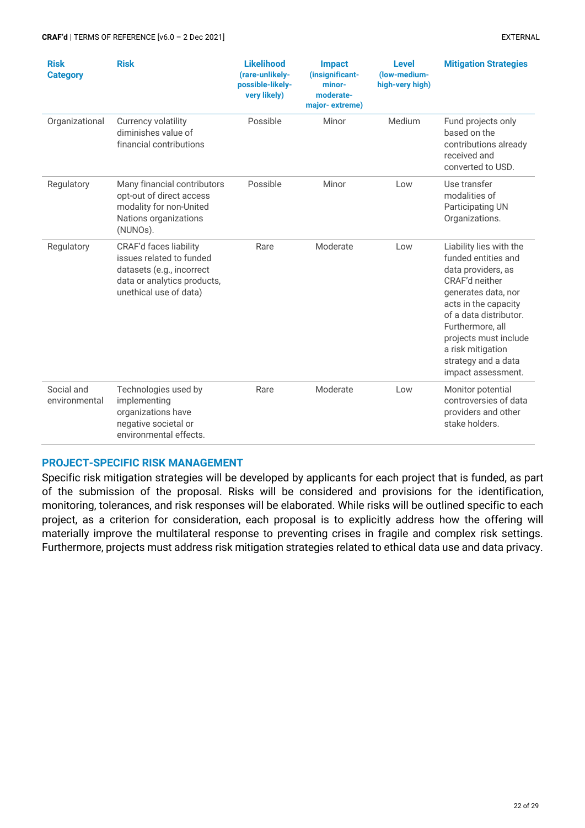| <b>Risk</b><br><b>Category</b> | <b>Risk</b>                                                                                                                                     | <b>Likelihood</b><br>(rare-unlikely-<br>possible-likely-<br>very likely) | <b>Impact</b><br>(insignificant-<br>minor-<br>moderate-<br>major-extreme) | <b>Level</b><br>(low-medium-<br>high-very high) | <b>Mitigation Strategies</b>                                                                                                                                                                                                                                                   |
|--------------------------------|-------------------------------------------------------------------------------------------------------------------------------------------------|--------------------------------------------------------------------------|---------------------------------------------------------------------------|-------------------------------------------------|--------------------------------------------------------------------------------------------------------------------------------------------------------------------------------------------------------------------------------------------------------------------------------|
| Organizational                 | Currency volatility<br>diminishes value of<br>financial contributions                                                                           | Possible                                                                 | Minor                                                                     | Medium                                          | Fund projects only<br>based on the<br>contributions already<br>received and<br>converted to USD.                                                                                                                                                                               |
| Regulatory                     | Many financial contributors<br>opt-out of direct access<br>modality for non-United<br>Nations organizations<br>(NUNOs).                         | Possible                                                                 | Minor                                                                     | Low                                             | Use transfer<br>modalities of<br>Participating UN<br>Organizations.                                                                                                                                                                                                            |
| Regulatory                     | <b>CRAF'd faces liability</b><br>issues related to funded<br>datasets (e.g., incorrect<br>data or analytics products,<br>unethical use of data) | Rare                                                                     | Moderate                                                                  | Low                                             | Liability lies with the<br>funded entities and<br>data providers, as<br>CRAF'd neither<br>generates data, nor<br>acts in the capacity<br>of a data distributor.<br>Furthermore, all<br>projects must include<br>a risk mitigation<br>strategy and a data<br>impact assessment. |
| Social and<br>environmental    | Technologies used by<br>implementing<br>organizations have<br>negative societal or<br>environmental effects.                                    | Rare                                                                     | Moderate                                                                  | Low                                             | Monitor potential<br>controversies of data<br>providers and other<br>stake holders.                                                                                                                                                                                            |

#### **PROJECT-SPECIFIC RISK MANAGEMENT**

Specific risk mitigation strategies will be developed by applicants for each project that is funded, as part of the submission of the proposal. Risks will be considered and provisions for the identification, monitoring, tolerances, and risk responses will be elaborated. While risks will be outlined specific to each project, as a criterion for consideration, each proposal is to explicitly address how the offering will materially improve the multilateral response to preventing crises in fragile and complex risk settings. Furthermore, projects must address risk mitigation strategies related to ethical data use and data privacy.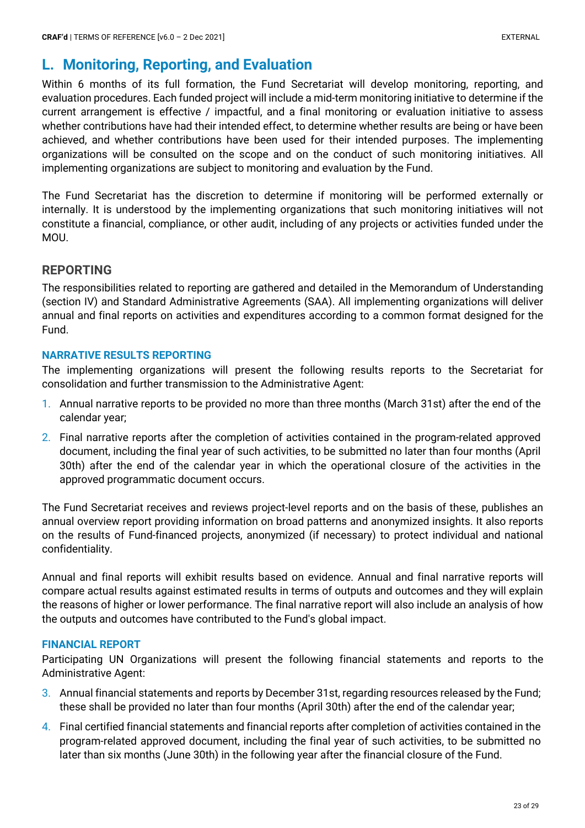# **L. Monitoring, Reporting, and Evaluation**

Within 6 months of its full formation, the Fund Secretariat will develop monitoring, reporting, and evaluation procedures. Each funded project will include a mid-term monitoring initiative to determine if the current arrangement is effective / impactful, and a final monitoring or evaluation initiative to assess whether contributions have had their intended effect, to determine whether results are being or have been achieved, and whether contributions have been used for their intended purposes. The implementing organizations will be consulted on the scope and on the conduct of such monitoring initiatives. All implementing organizations are subject to monitoring and evaluation by the Fund.

The Fund Secretariat has the discretion to determine if monitoring will be performed externally or internally. It is understood by the implementing organizations that such monitoring initiatives will not constitute a financial, compliance, or other audit, including of any projects or activities funded under the MOU.

## **REPORTING**

The responsibilities related to reporting are gathered and detailed in the Memorandum of Understanding (section IV) and Standard Administrative Agreements (SAA). All implementing organizations will deliver annual and final reports on activities and expenditures according to a common format designed for the Fund.

#### **NARRATIVE RESULTS REPORTING**

The implementing organizations will present the following results reports to the Secretariat for consolidation and further transmission to the Administrative Agent:

- 1. Annual narrative reports to be provided no more than three months (March 31st) after the end of the calendar year;
- 2. Final narrative reports after the completion of activities contained in the program-related approved document, including the final year of such activities, to be submitted no later than four months (April 30th) after the end of the calendar year in which the operational closure of the activities in the approved programmatic document occurs.

The Fund Secretariat receives and reviews project-level reports and on the basis of these, publishes an annual overview report providing information on broad patterns and anonymized insights. It also reports on the results of Fund-financed projects, anonymized (if necessary) to protect individual and national confidentiality.

Annual and final reports will exhibit results based on evidence. Annual and final narrative reports will compare actual results against estimated results in terms of outputs and outcomes and they will explain the reasons of higher or lower performance. The final narrative report will also include an analysis of how the outputs and outcomes have contributed to the Fund's global impact.

#### **FINANCIAL REPORT**

Participating UN Organizations will present the following financial statements and reports to the Administrative Agent:

- 3. Annual financial statements and reports by December 31st, regarding resources released by the Fund; these shall be provided no later than four months (April 30th) after the end of the calendar year;
- 4. Final certified financial statements and financial reports after completion of activities contained in the program-related approved document, including the final year of such activities, to be submitted no later than six months (June 30th) in the following year after the financial closure of the Fund.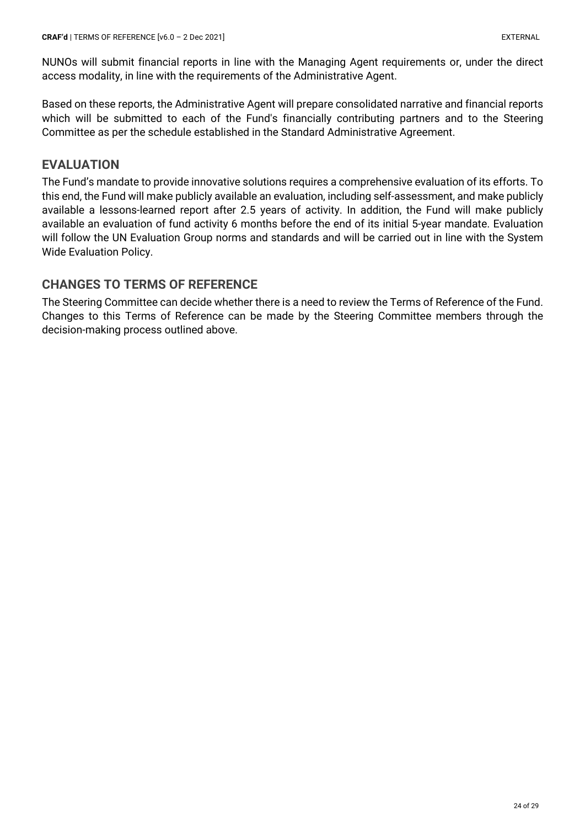NUNOs will submit financial reports in line with the Managing Agent requirements or, under the direct access modality, in line with the requirements of the Administrative Agent.

Based on these reports, the Administrative Agent will prepare consolidated narrative and financial reports which will be submitted to each of the Fund's financially contributing partners and to the Steering Committee as per the schedule established in the Standard Administrative Agreement.

## **EVALUATION**

The Fund's mandate to provide innovative solutions requires a comprehensive evaluation of its efforts. To this end, the Fund will make publicly available an evaluation, including self-assessment, and make publicly available a lessons-learned report after 2.5 years of activity. In addition, the Fund will make publicly available an evaluation of fund activity 6 months before the end of its initial 5-year mandate. Evaluation will follow the UN Evaluation Group norms and standards and will be carried out in line with the System Wide Evaluation Policy.

## **CHANGES TO TERMS OF REFERENCE**

The Steering Committee can decide whether there is a need to review the Terms of Reference of the Fund. Changes to this Terms of Reference can be made by the Steering Committee members through the decision-making process outlined above.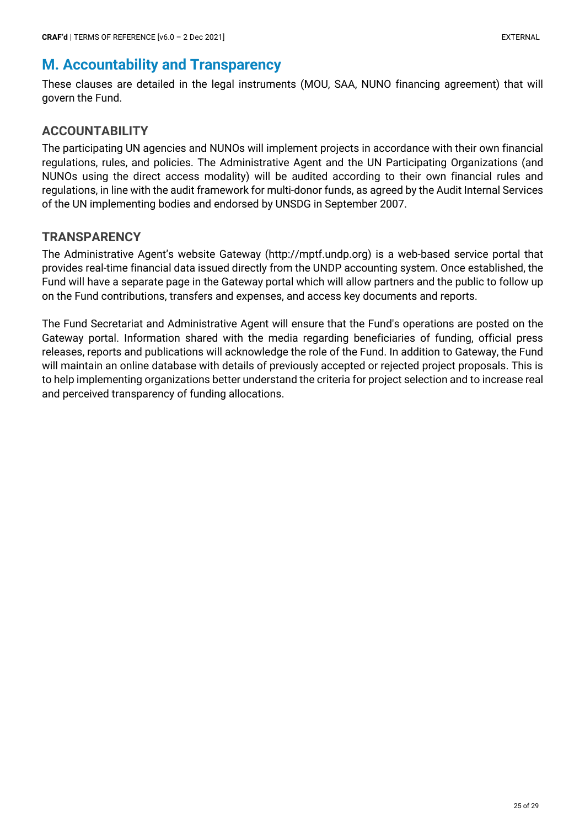# **M. Accountability and Transparency**

These clauses are detailed in the legal instruments (MOU, SAA, NUNO financing agreement) that will govern the Fund.

## **ACCOUNTABILITY**

The participating UN agencies and NUNOs will implement projects in accordance with their own financial regulations, rules, and policies. The Administrative Agent and the UN Participating Organizations (and NUNOs using the direct access modality) will be audited according to their own financial rules and regulations, in line with the audit framework for multi-donor funds, as agreed by the Audit Internal Services of the UN implementing bodies and endorsed by UNSDG in September 2007.

## **TRANSPARENCY**

The Administrative Agent's website Gateway (http://mptf.undp.org) is a web-based service portal that provides real-time financial data issued directly from the UNDP accounting system. Once established, the Fund will have a separate page in the Gateway portal which will allow partners and the public to follow up on the Fund contributions, transfers and expenses, and access key documents and reports.

The Fund Secretariat and Administrative Agent will ensure that the Fund's operations are posted on the Gateway portal. Information shared with the media regarding beneficiaries of funding, official press releases, reports and publications will acknowledge the role of the Fund. In addition to Gateway, the Fund will maintain an online database with details of previously accepted or rejected project proposals. This is to help implementing organizations better understand the criteria for project selection and to increase real and perceived transparency of funding allocations.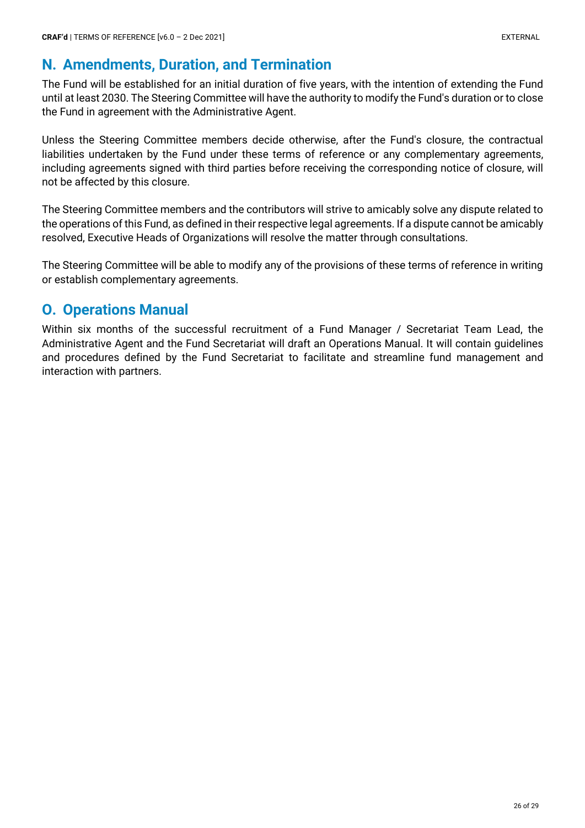# **N. Amendments, Duration, and Termination**

The Fund will be established for an initial duration of five years, with the intention of extending the Fund until at least 2030. The Steering Committee will have the authority to modify the Fund's duration or to close the Fund in agreement with the Administrative Agent.

Unless the Steering Committee members decide otherwise, after the Fund's closure, the contractual liabilities undertaken by the Fund under these terms of reference or any complementary agreements, including agreements signed with third parties before receiving the corresponding notice of closure, will not be affected by this closure.

The Steering Committee members and the contributors will strive to amicably solve any dispute related to the operations of this Fund, as defined in their respective legal agreements. If a dispute cannot be amicably resolved, Executive Heads of Organizations will resolve the matter through consultations.

The Steering Committee will be able to modify any of the provisions of these terms of reference in writing or establish complementary agreements.

# **O. Operations Manual**

Within six months of the successful recruitment of a Fund Manager / Secretariat Team Lead, the Administrative Agent and the Fund Secretariat will draft an Operations Manual. It will contain guidelines and procedures defined by the Fund Secretariat to facilitate and streamline fund management and interaction with partners.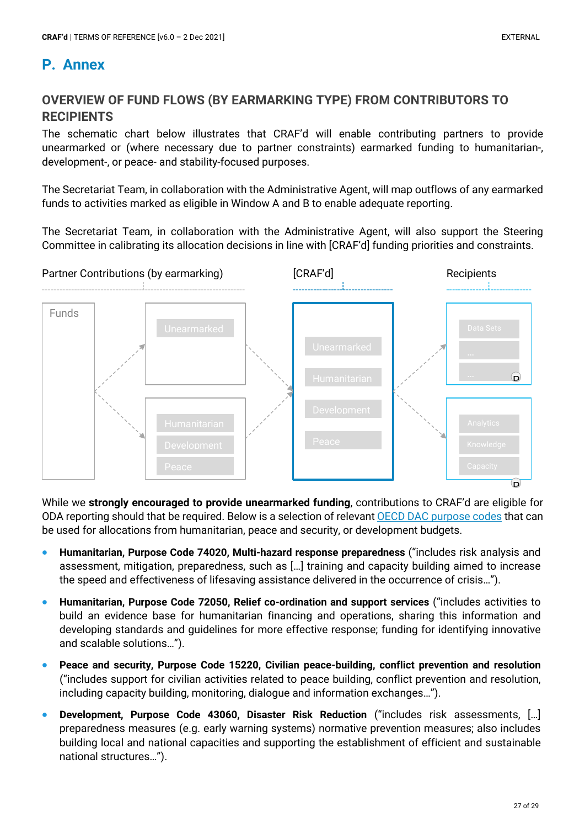## **P. Annex**

## **OVERVIEW OF FUND FLOWS (BY EARMARKING TYPE) FROM CONTRIBUTORS TO RECIPIENTS**

The schematic chart below illustrates that CRAF'd will enable contributing partners to provide unearmarked or (where necessary due to partner constraints) earmarked funding to humanitarian-, development-, or peace- and stability-focused purposes.

The Secretariat Team, in collaboration with the Administrative Agent, will map outflows of any earmarked funds to activities marked as eligible in Window A and B to enable adequate reporting.

The Secretariat Team, in collaboration with the Administrative Agent, will also support the Steering Committee in calibrating its allocation decisions in line with [CRAF'd] funding priorities and constraints.



While we **strongly encouraged to provide unearmarked funding**, contributions to CRAF'd are eligible for ODA reporting should that be required. Below is a selection of relevant OECD DAC purpose codes that can be used for allocations from humanitarian, peace and security, or development budgets.

- **Humanitarian, Purpose Code 74020, Multi-hazard response preparedness** ("includes risk analysis and assessment, mitigation, preparedness, such as […] training and capacity building aimed to increase the speed and effectiveness of lifesaving assistance delivered in the occurrence of crisis…").
- **Humanitarian, Purpose Code 72050, Relief co-ordination and support services** ("includes activities to build an evidence base for humanitarian financing and operations, sharing this information and developing standards and guidelines for more effective response; funding for identifying innovative and scalable solutions…").
- **Peace and security, Purpose Code 15220, Civilian peace-building, conflict prevention and resolution** ("includes support for civilian activities related to peace building, conflict prevention and resolution, including capacity building, monitoring, dialogue and information exchanges…").
- **Development, Purpose Code 43060, Disaster Risk Reduction** ("includes risk assessments, […] preparedness measures (e.g. early warning systems) normative prevention measures; also includes building local and national capacities and supporting the establishment of efficient and sustainable national structures…").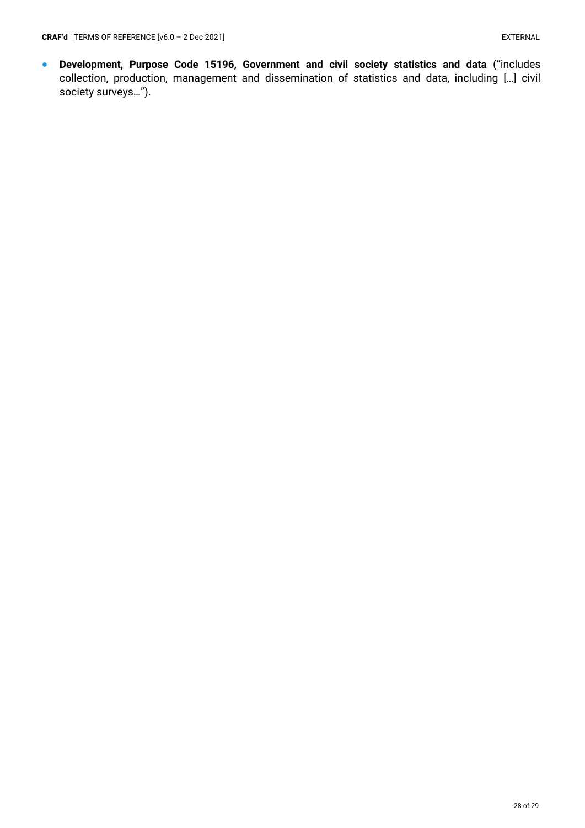• **Development, Purpose Code 15196, Government and civil society statistics and data** ("includes collection, production, management and dissemination of statistics and data, including […] civil society surveys…").